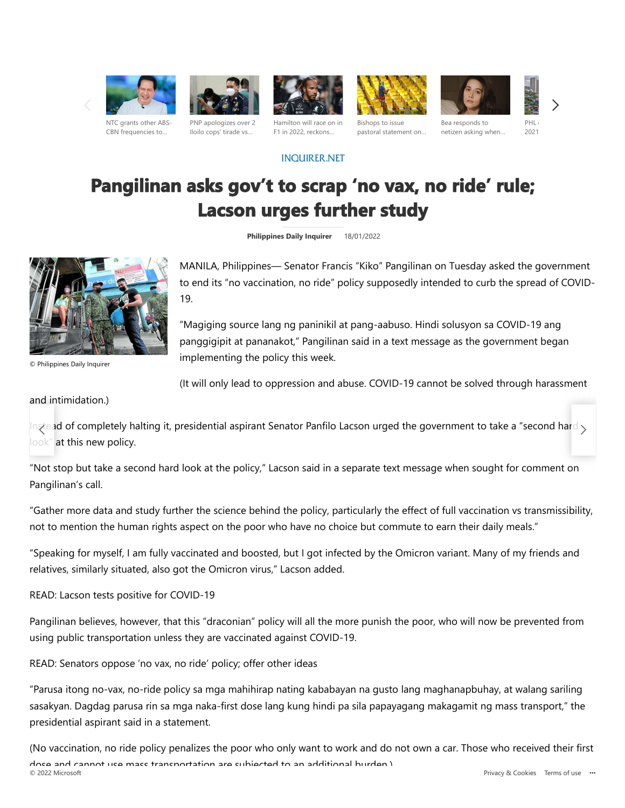



Iloilo cops' tirade vs…









[NTC grants other ABS-](https://www.msn.com/en-ph/entertainment/other/ntc-grants-other-abs-cbn-frequencies-to-quiboloy-s-smni-cabangon-chua-s-aliw-broadcasting-corporation/ar-AAT9oVj)CBN frequencies to…

[Hamilton will race on in](https://www.msn.com/en-ph/sports/other/hamilton-will-race-on-in-f1-in-2022-reckons-button/ar-AAT9I4M) F1 in 2022, reckons…

Bishops to issue [pastoral statement on…](https://www.msn.com/en-ph/news/national/bishops-to-issue-pastoral-statement-on-2022-elections/ar-AAT9hie)

Bea responds to [netizen asking when…](https://www.msn.com/en-ph/entertainment/other/bea-alonzo-responds-to-netizen-asking-when-she-ll-marry-and-have-kids-it-s-not-a-race/ar-AAT9a5R)

**PHL** 2021

# **Pangilinan asks gov't to scrap 'no vax, no ride' rule; Lacson urges further study**

**INQUIRER, NET** 

**Philippines Daily Inquirer** 18/01/2022



© Philippines Daily Inquirer

MANILA, Philippines— Senator Francis "Kiko" Pangilinan on Tuesday asked the government to end its "no vaccination, no ride" policy supposedly intended to curb the spread of COVID-19.

"Magiging source lang ng paninikil at pang-aabuso. Hindi solusyon sa COVID-19 ang panggigipit at pananakot," Pangilinan said in a text message as the government began implementing the policy this week.

(It will only lead to oppression and abuse. COVID-19 cannot be solved through harassment

### and intimidation.)

In $\chi$ ead of completely halting it, presidential aspirant Senator Panfilo Lacson urged the government to take a "second hard  $\gtrsim$ look" at this new policy.

"Not stop but take a second hard look at the policy," Lacson said in a separate text message when sought for comment on Pangilinan's call.

"Gather more data and study further the science behind the policy, particularly the effect of full vaccination vs transmissibility, not to mention the human rights aspect on the poor who have no choice but commute to earn their daily meals."

"Speaking for myself, I am fully vaccinated and boosted, but I got infected by the Omicron variant. Many of my friends and relatives, similarly situated, also got the Omicron virus," Lacson added.

READ: Lacson tests positive for COVID-19

Pangilinan believes, however, that this "draconian" policy will all the more punish the poor, who will now be prevented from using public transportation unless they are vaccinated against COVID-19.

READ: Senators oppose 'no vax, no ride' policy; offer other ideas

"Parusa itong no-vax, no-ride policy sa mga mahihirap nating kababayan na gusto lang maghanapbuhay, at walang sariling sasakyan. Dagdag parusa rin sa mga naka-first dose lang kung hindi pa sila papayagang makagamit ng mass transport," the presidential aspirant said in a statement.

(No vaccination, no ride policy penalizes the poor who only want to work and do not own a car. Those who received their first dose and cannot use mass transportation are subjected to an additional burden.)<br>© 2022 Microsoft [Privacy & Cookies](https://go.microsoft.com/fwlink/?LinkId=521839) [Terms of use](https://go.microsoft.com/fwlink/?LinkID=246338) ...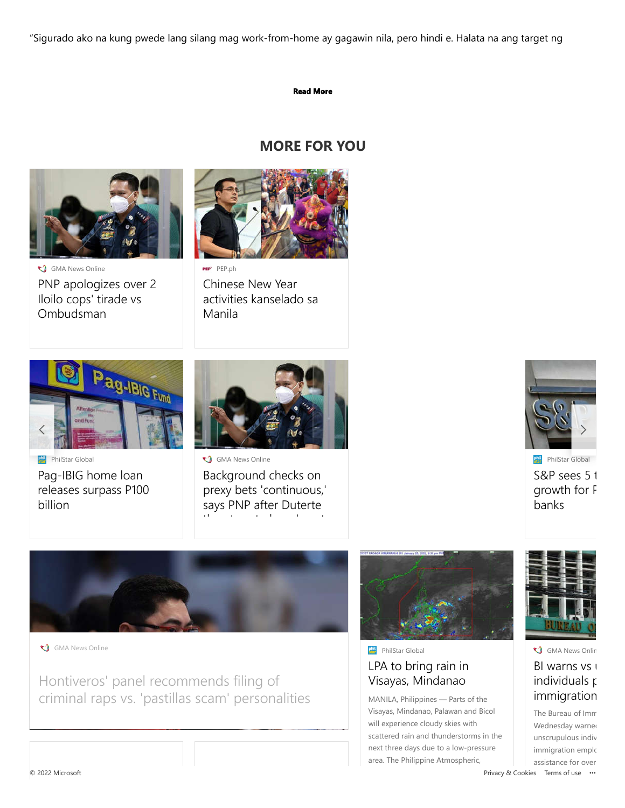"Sigurado ako na kung pwede lang silang mag work-from-home ay gagawin nila, pero hindi e. Halata na ang target ng

#### **Read More**

# **MORE FOR YOU**



[PNP apologizes over 2](https://www.msn.com/en-ph/news/national/pnp-apologizes-over-2-iloilo-cops-tirade-vs-ombudsman/ar-AAT9rq1) Iloilo cops' tirade vs Ombudsman GMA News Online



PEP<sup>.</sup> PEP.ph

Chinese New Year [activities kanselado sa](https://www.msn.com/en-ph/news/national/chinese-new-year-public-activities-kanselado-sa-manila/ar-AAT9a28) Manila



**River** PhilStar Global

[Pag](https://www.msn.com/en-ph/entertainment/other/ntc-grants-other-abs-cbn-frequencies-to-quiboloy-s-smni-cabangon-chua-s-aliw-broadcasting-corporation/ar-AAT9oVj)-IBIG home loan [releases surpass P100](https://www.msn.com/en-ph/news/national/pag-ibig-home-loan-releases-surpass-p100-billion/ar-AAT87yy) billion



GMA News Online

Background checks on [prexy bets 'continuous,'](https://www.msn.com/en-ph/news/national/background-checks-on-prexy-bets-continuous-says-pnp-after-duterte-threatens-to-bare-most-corrupt/ar-AAT9wRo) says PNP after Duterte th the transformation of the transformation of the transformation of the transformation of the transformation of the transformation of the transformation of the transformation of the transformation of the transformation o



[S&P sees 5 t](https://www.msn.com/en-ph/news/national/sandp-sees-5-to-7percent-credit-growth-for-philippine-banks/ar-AAT89yi) growth for F banks



GMA News Online

Hontiveros' panel recommends filing of criminal raps vs. 'pastillas scam' personalities



[LPA to bring rain in](https://www.msn.com/en-ph/news/national/lpa-to-bring-rain-in-visayas-mindanao/ar-AAT8gV2) Visayas, Mindanao **Phil** PhilStar Global

MANILA, Philippines — Parts of the Visayas, Mindanao, Palawan and Bicol will experience cloudy skies with scattered rain and thunderstorms in the next three days due to a low-pressure area. The Philippine Atmospheric,



# **GMA News Onlin**

## [BI warns vs u](https://www.msn.com/en-ph/news/national/bi-warns-vs-unscrupulous-individuals-posing-as-immigration-employees/ar-AAT9zxb) individuals **p** immigration

The Bureau of Imm Wednesday warned unscrupulous indiv immigration emplo assistance for over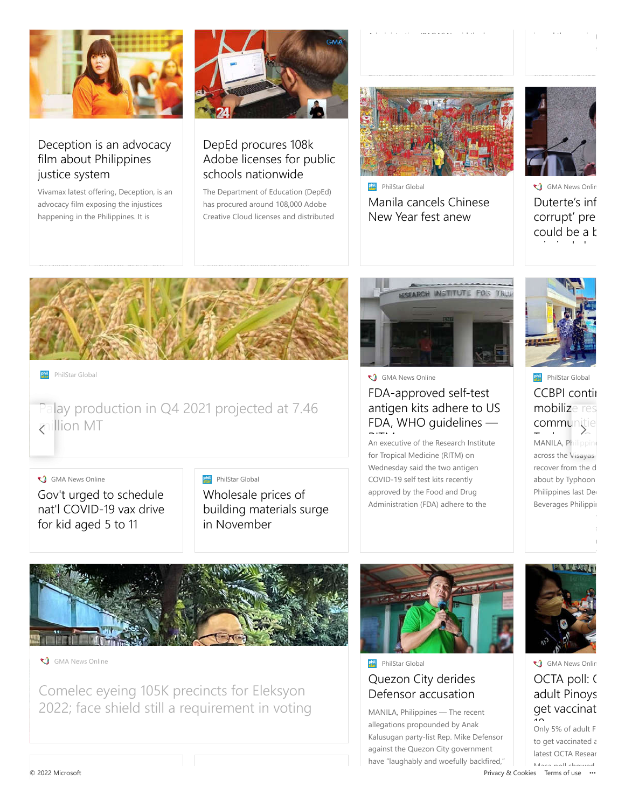

# [Deception is an advocacy](https://www.msn.com/en-ph/news/national/bsp-warns-of-fake-bills-from-atms/ar-AAT7VEP) film about Philippines justice system

Vivamax latest offering, Deception, is an advocacy film exposing the injustices happening in the Philippines. It is



# DepEd procures 108k [Adobe licenses for public](https://www.msn.com/en-ph/news/national/petition-to-cancel-coc-filed-by-marcos-namesake-still-pending-comelec-clarifies/ar-AAT9HCe) schools nationwide

The Department of Education (DepEd) has procured around 108,000 Adobe Creative Cloud licenses and distributed



[Manila cancels Chinese](https://www.msn.com/en-ph/news/national/manila-cancels-chinese-new-year-fest-anew/ar-AAT89yH) New Year fest anew PhilStar Global



[Duterte's inf](https://www.msn.com/en-ph/news/national/dutertes-info-on-most-corrupt-presidentiable-could-be-a-basis-for-criminal-charges-%e2%80%94-lacson-spox/ar-AAT9jCt) corrupt' pre could be a k i i l h GMA News Onlin



#### **PhilStar Global**

### [Palay production in Q4 2021 projected at 7.46](https://www.msn.com/en-ph/news/national/palay-production-in-q4-2021-projected-at-746-million-mt/ar-AAT830L) [mil](https://www.msn.com/en-ph/entertainment/other/ntc-grants-other-abs-cbn-frequencies-to-quiboloy-s-smni-cabangon-chua-s-aliw-broadcasting-corporation/ar-AAT9oVj)lion MT  $\left\{\frac{1}{2}, \frac{1}{2}, \frac{1}{2}\right\}$

#### GMA News Online

Gov't urged to schedule [nat'l COVID-19 vax drive](https://www.msn.com/en-ph/news/national/govt-urged-to-schedule-natl-covid-19-vax-drive-for-kid-aged-5-to-11/ar-AAT9lh8) for kid aged 5 to 11

#### **PhilStar Global**

Wholesale prices of [building materials surge](https://www.msn.com/en-ph/news/national/wholesale-prices-of-building-materials-surge-in-november/ar-AAT89ya) in November



GMA News Online

# FDA-approved self-test [antigen kits adhere to US](https://www.msn.com/en-ph/news/national/fda-approved-self-test-antigen-kits-adhere-to-us-fda-who-guidelines-%e2%80%94ritm/ar-AAT9e5r) FDA, WHO guidelines —

An executive of the Research Institute for Tropical Medicine (RITM) on Wednesday said the two antigen COVID-19 self test kits recently approved by the Food and Drug Administration (FDA) adhere to the



# [CCBPI contin](https://www.msn.com/en-ph/news/national/ccbpi-continues-to-mobilize-resources-for-communities-affected-by-typhoon-odette/ar-AAT8evO) mobilize res comm[unitie](https://www.msn.com/en-ph/news/national/pnp-apologizes-over-2-iloilo-cops-tirade-vs-ombudsman/ar-AAT9rq1) **PhilStar Global**

MANILA, Philippine across the Visayas recover from the d about by Typhoon Philippines last De Beverages Philippin



GMA News Online

Comelec eyeing 105K precincts for Eleksyon [2022; face shield still a requirement in voting](https://www.msn.com/en-ph/news/national/comelec-eyeing-105k-precincts-for-eleksyon-2022-face-shield-still-a-requirement-in-voting-%e2%80%94-spox/ar-AAT9fPV)



[Quezon City derides](https://www.msn.com/en-ph/news/national/quezon-city-derides-defensor-accusation/ar-AAT7QEl) Defensor accusation **PhilStar Global** 

MANILA, Philippines — The recent allegations propounded by Anak Kalusugan party-list Rep. Mike Defensor against the Quezon City government have "laughably and woefully backfired,"



# OCTA poll: 0 adult Pinoys get vaccinat GMA News Onlin

Only 5% of adult F to get vaccinated a latest OCTA Resear Masa poll showed.